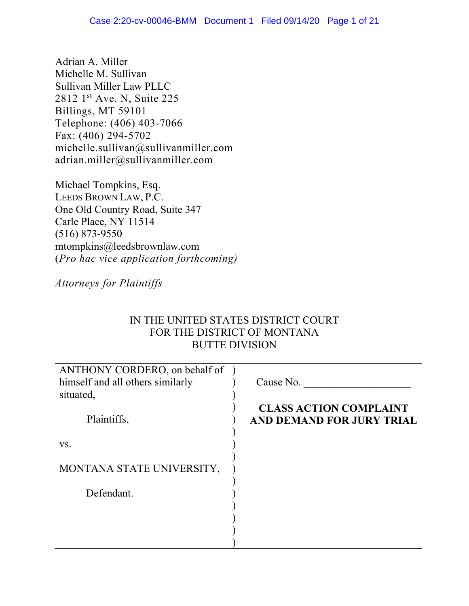Adrian A. Miller Michelle M. Sullivan Sullivan Miller Law PLLC 2812 1st Ave. N, Suite 225 Billings, MT 59101 Telephone: (406) 403-7066 Fax: (406) 294-5702 michelle.sullivan@sullivanmiller.com adrian.miller@sullivanmiller.com

Michael Tompkins, Esq. LEEDS BROWN LAW, P.C. One Old Country Road, Suite 347 Carle Place, NY 11514 (516) 873-9550 mtompkins@leedsbrownlaw.com (*Pro hac vice application forthcoming)*

# *Attorneys for Plaintiffs*

# IN THE UNITED STATES DISTRICT COURT FOR THE DISTRICT OF MONTANA BUTTE DIVISION

| ANTHONY CORDERO, on behalf of<br>himself and all others similarly | Cause No.                                                  |
|-------------------------------------------------------------------|------------------------------------------------------------|
| situated,                                                         |                                                            |
| Plaintiffs,                                                       | <b>CLASS ACTION COMPLAINT</b><br>AND DEMAND FOR JURY TRIAL |
| VS.                                                               |                                                            |
| MONTANA STATE UNIVERSITY,                                         |                                                            |
| Defendant.                                                        |                                                            |
|                                                                   |                                                            |
|                                                                   |                                                            |
|                                                                   |                                                            |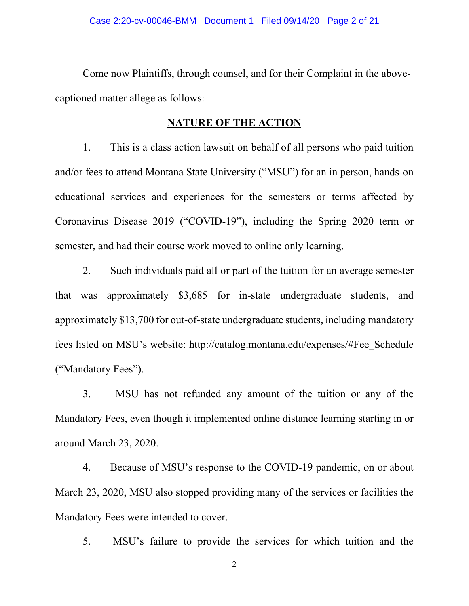Come now Plaintiffs, through counsel, and for their Complaint in the abovecaptioned matter allege as follows:

### **NATURE OF THE ACTION**

1. This is a class action lawsuit on behalf of all persons who paid tuition and/or fees to attend Montana State University ("MSU") for an in person, hands-on educational services and experiences for the semesters or terms affected by Coronavirus Disease 2019 ("COVID-19"), including the Spring 2020 term or semester, and had their course work moved to online only learning.

2. Such individuals paid all or part of the tuition for an average semester that was approximately \$3,685 for in-state undergraduate students, and approximately \$13,700 for out-of-state undergraduate students, including mandatory fees listed on MSU's website: http://catalog.montana.edu/expenses/#Fee\_Schedule ("Mandatory Fees").

3. MSU has not refunded any amount of the tuition or any of the Mandatory Fees, even though it implemented online distance learning starting in or around March 23, 2020.

4. Because of MSU's response to the COVID-19 pandemic, on or about March 23, 2020, MSU also stopped providing many of the services or facilities the Mandatory Fees were intended to cover.

5. MSU's failure to provide the services for which tuition and the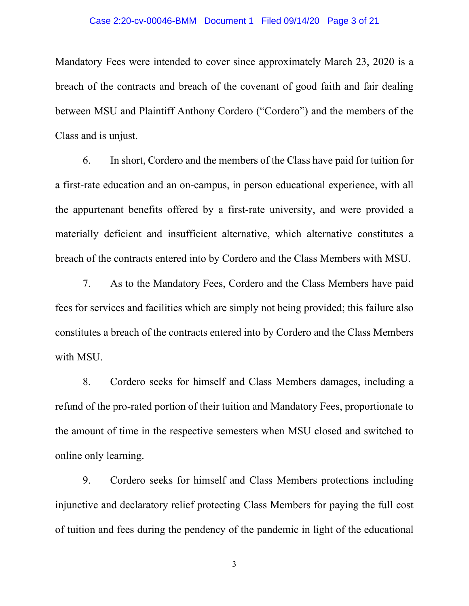### Case 2:20-cv-00046-BMM Document 1 Filed 09/14/20 Page 3 of 21

Mandatory Fees were intended to cover since approximately March 23, 2020 is a breach of the contracts and breach of the covenant of good faith and fair dealing between MSU and Plaintiff Anthony Cordero ("Cordero") and the members of the Class and is unjust.

6. In short, Cordero and the members of the Class have paid for tuition for a first-rate education and an on-campus, in person educational experience, with all the appurtenant benefits offered by a first-rate university, and were provided a materially deficient and insufficient alternative, which alternative constitutes a breach of the contracts entered into by Cordero and the Class Members with MSU.

7. As to the Mandatory Fees, Cordero and the Class Members have paid fees for services and facilities which are simply not being provided; this failure also constitutes a breach of the contracts entered into by Cordero and the Class Members with MSU.

8. Cordero seeks for himself and Class Members damages, including a refund of the pro-rated portion of their tuition and Mandatory Fees, proportionate to the amount of time in the respective semesters when MSU closed and switched to online only learning.

9. Cordero seeks for himself and Class Members protections including injunctive and declaratory relief protecting Class Members for paying the full cost of tuition and fees during the pendency of the pandemic in light of the educational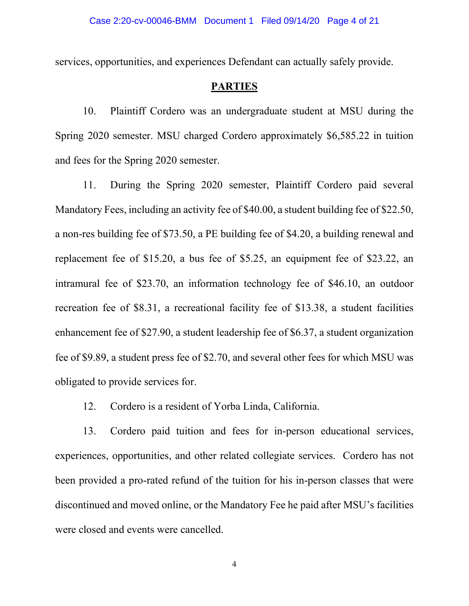services, opportunities, and experiences Defendant can actually safely provide.

### **PARTIES**

10. Plaintiff Cordero was an undergraduate student at MSU during the Spring 2020 semester. MSU charged Cordero approximately \$6,585.22 in tuition and fees for the Spring 2020 semester.

11. During the Spring 2020 semester, Plaintiff Cordero paid several Mandatory Fees, including an activity fee of \$40.00, a student building fee of \$22.50, a non-res building fee of \$73.50, a PE building fee of \$4.20, a building renewal and replacement fee of \$15.20, a bus fee of \$5.25, an equipment fee of \$23.22, an intramural fee of \$23.70, an information technology fee of \$46.10, an outdoor recreation fee of \$8.31, a recreational facility fee of \$13.38, a student facilities enhancement fee of \$27.90, a student leadership fee of \$6.37, a student organization fee of \$9.89, a student press fee of \$2.70, and several other fees for which MSU was obligated to provide services for.

12. Cordero is a resident of Yorba Linda, California.

13. Cordero paid tuition and fees for in-person educational services, experiences, opportunities, and other related collegiate services. Cordero has not been provided a pro-rated refund of the tuition for his in-person classes that were discontinued and moved online, or the Mandatory Fee he paid after MSU's facilities were closed and events were cancelled.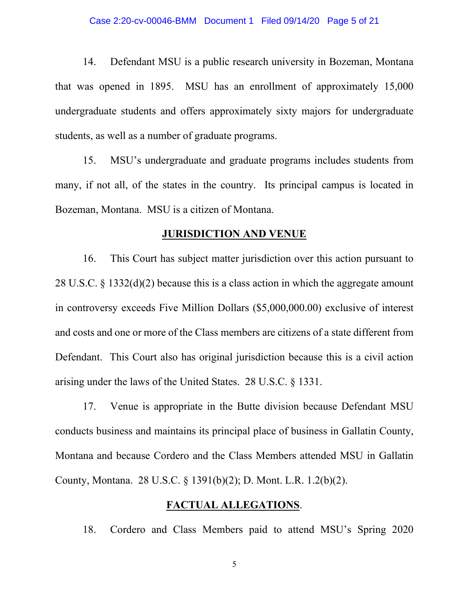14. Defendant MSU is a public research university in Bozeman, Montana that was opened in 1895. MSU has an enrollment of approximately 15,000 undergraduate students and offers approximately sixty majors for undergraduate students, as well as a number of graduate programs.

15. MSU's undergraduate and graduate programs includes students from many, if not all, of the states in the country. Its principal campus is located in Bozeman, Montana. MSU is a citizen of Montana.

### **JURISDICTION AND VENUE**

16. This Court has subject matter jurisdiction over this action pursuant to 28 U.S.C. § 1332(d)(2) because this is a class action in which the aggregate amount in controversy exceeds Five Million Dollars (\$5,000,000.00) exclusive of interest and costs and one or more of the Class members are citizens of a state different from Defendant. This Court also has original jurisdiction because this is a civil action arising under the laws of the United States. 28 U.S.C. § 1331.

17. Venue is appropriate in the Butte division because Defendant MSU conducts business and maintains its principal place of business in Gallatin County, Montana and because Cordero and the Class Members attended MSU in Gallatin County, Montana. 28 U.S.C. § 1391(b)(2); D. Mont. L.R. 1.2(b)(2).

### **FACTUAL ALLEGATIONS**.

18. Cordero and Class Members paid to attend MSU's Spring 2020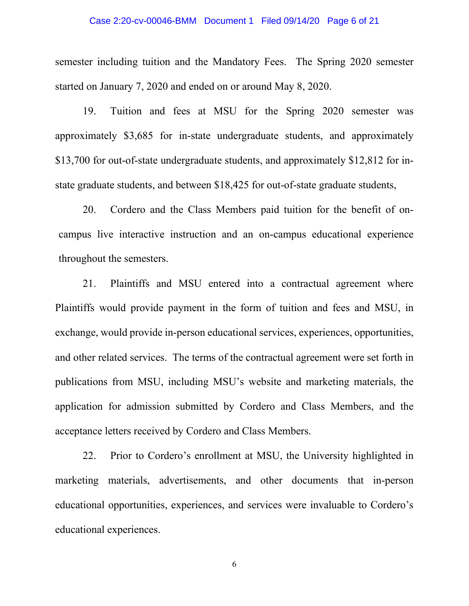### Case 2:20-cv-00046-BMM Document 1 Filed 09/14/20 Page 6 of 21

semester including tuition and the Mandatory Fees. The Spring 2020 semester started on January 7, 2020 and ended on or around May 8, 2020.

19. Tuition and fees at MSU for the Spring 2020 semester was approximately \$3,685 for in-state undergraduate students, and approximately \$13,700 for out-of-state undergraduate students, and approximately \$12,812 for instate graduate students, and between \$18,425 for out-of-state graduate students,

20. Cordero and the Class Members paid tuition for the benefit of oncampus live interactive instruction and an on-campus educational experience throughout the semesters.

21. Plaintiffs and MSU entered into a contractual agreement where Plaintiffs would provide payment in the form of tuition and fees and MSU, in exchange, would provide in-person educational services, experiences, opportunities, and other related services. The terms of the contractual agreement were set forth in publications from MSU, including MSU's website and marketing materials, the application for admission submitted by Cordero and Class Members, and the acceptance letters received by Cordero and Class Members.

22. Prior to Cordero's enrollment at MSU, the University highlighted in marketing materials, advertisements, and other documents that in-person educational opportunities, experiences, and services were invaluable to Cordero's educational experiences.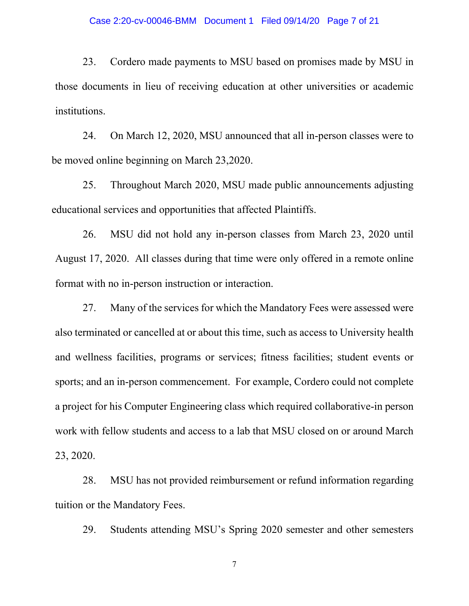### Case 2:20-cv-00046-BMM Document 1 Filed 09/14/20 Page 7 of 21

23. Cordero made payments to MSU based on promises made by MSU in those documents in lieu of receiving education at other universities or academic institutions.

24. On March 12, 2020, MSU announced that all in-person classes were to be moved online beginning on March 23,2020.

25. Throughout March 2020, MSU made public announcements adjusting educational services and opportunities that affected Plaintiffs.

26. MSU did not hold any in-person classes from March 23, 2020 until August 17, 2020. All classes during that time were only offered in a remote online format with no in-person instruction or interaction.

27. Many of the services for which the Mandatory Fees were assessed were also terminated or cancelled at or about this time, such as access to University health and wellness facilities, programs or services; fitness facilities; student events or sports; and an in-person commencement. For example, Cordero could not complete a project for his Computer Engineering class which required collaborative-in person work with fellow students and access to a lab that MSU closed on or around March 23, 2020.

28. MSU has not provided reimbursement or refund information regarding tuition or the Mandatory Fees.

29. Students attending MSU's Spring 2020 semester and other semesters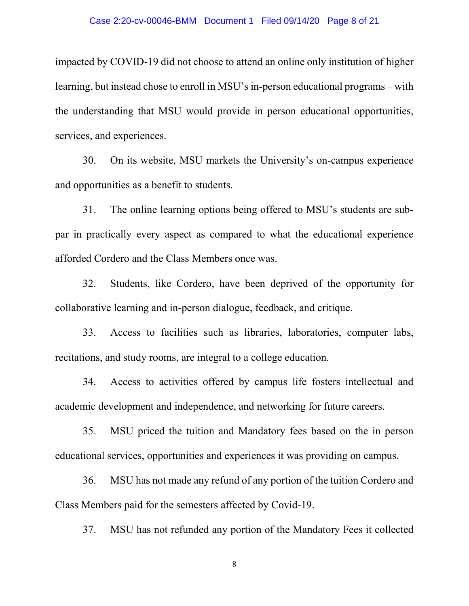impacted by COVID-19 did not choose to attend an online only institution of higher learning, but instead chose to enroll in MSU's in-person educational programs – with the understanding that MSU would provide in person educational opportunities, services, and experiences.

30. On its website, MSU markets the University's on-campus experience and opportunities as a benefit to students.

31. The online learning options being offered to MSU's students are subpar in practically every aspect as compared to what the educational experience afforded Cordero and the Class Members once was.

32. Students, like Cordero, have been deprived of the opportunity for collaborative learning and in-person dialogue, feedback, and critique.

33. Access to facilities such as libraries, laboratories, computer labs, recitations, and study rooms, are integral to a college education.

34. Access to activities offered by campus life fosters intellectual and academic development and independence, and networking for future careers.

35. MSU priced the tuition and Mandatory fees based on the in person educational services, opportunities and experiences it was providing on campus.

36. MSU has not made any refund of any portion of the tuition Cordero and Class Members paid for the semesters affected by Covid-19.

37. MSU has not refunded any portion of the Mandatory Fees it collected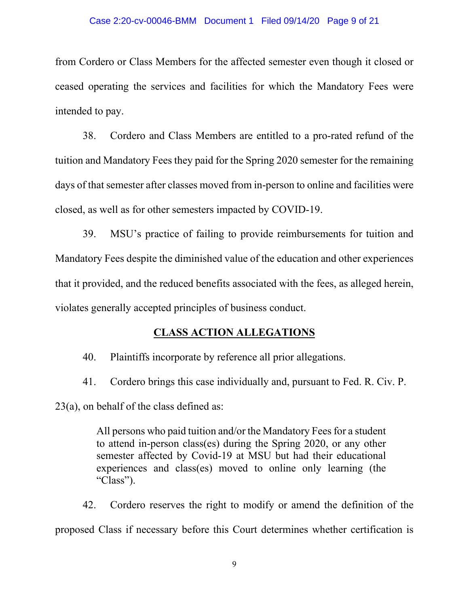### Case 2:20-cv-00046-BMM Document 1 Filed 09/14/20 Page 9 of 21

from Cordero or Class Members for the affected semester even though it closed or ceased operating the services and facilities for which the Mandatory Fees were intended to pay.

38. Cordero and Class Members are entitled to a pro-rated refund of the tuition and Mandatory Fees they paid for the Spring 2020 semester for the remaining days of that semester after classes moved from in-person to online and facilities were closed, as well as for other semesters impacted by COVID-19.

39. MSU's practice of failing to provide reimbursements for tuition and Mandatory Fees despite the diminished value of the education and other experiences that it provided, and the reduced benefits associated with the fees, as alleged herein, violates generally accepted principles of business conduct.

## **CLASS ACTION ALLEGATIONS**

40. Plaintiffs incorporate by reference all prior allegations.

41. Cordero brings this case individually and, pursuant to Fed. R. Civ. P. 23(a), on behalf of the class defined as:

> All persons who paid tuition and/or the Mandatory Fees for a student to attend in-person class(es) during the Spring 2020, or any other semester affected by Covid-19 at MSU but had their educational experiences and class(es) moved to online only learning (the "Class").

42. Cordero reserves the right to modify or amend the definition of the proposed Class if necessary before this Court determines whether certification is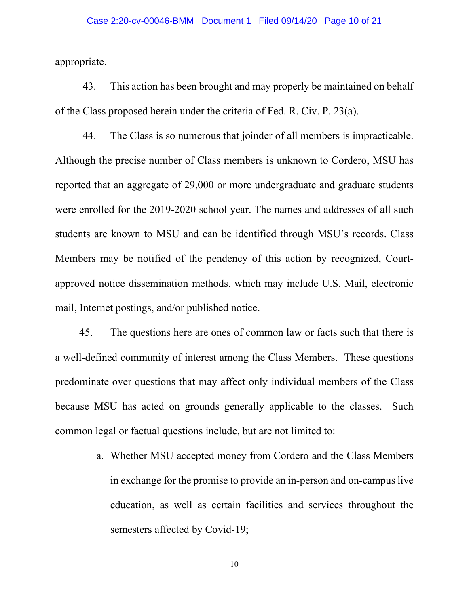### Case 2:20-cv-00046-BMM Document 1 Filed 09/14/20 Page 10 of 21

appropriate.

43. This action has been brought and may properly be maintained on behalf of the Class proposed herein under the criteria of Fed. R. Civ. P. 23(a).

44. The Class is so numerous that joinder of all members is impracticable. Although the precise number of Class members is unknown to Cordero, MSU has reported that an aggregate of 29,000 or more undergraduate and graduate students were enrolled for the 2019-2020 school year. The names and addresses of all such students are known to MSU and can be identified through MSU's records. Class Members may be notified of the pendency of this action by recognized, Courtapproved notice dissemination methods, which may include U.S. Mail, electronic mail, Internet postings, and/or published notice.

45. The questions here are ones of common law or facts such that there is a well-defined community of interest among the Class Members. These questions predominate over questions that may affect only individual members of the Class because MSU has acted on grounds generally applicable to the classes. Such common legal or factual questions include, but are not limited to:

> a. Whether MSU accepted money from Cordero and the Class Members in exchange for the promise to provide an in-person and on-campus live education, as well as certain facilities and services throughout the semesters affected by Covid-19;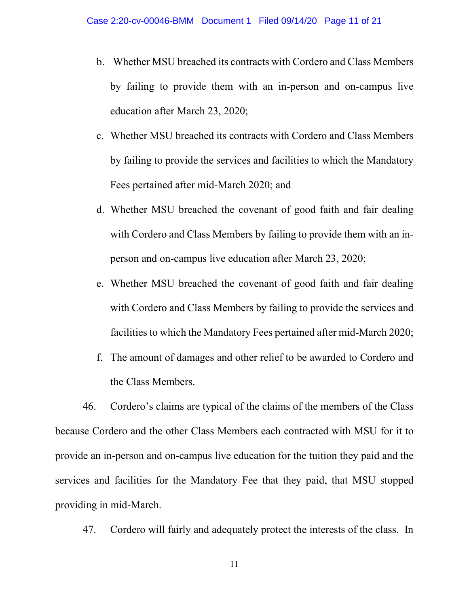- b. Whether MSU breached its contracts with Cordero and Class Members by failing to provide them with an in-person and on-campus live education after March 23, 2020;
- c. Whether MSU breached its contracts with Cordero and Class Members by failing to provide the services and facilities to which the Mandatory Fees pertained after mid-March 2020; and
- d. Whether MSU breached the covenant of good faith and fair dealing with Cordero and Class Members by failing to provide them with an inperson and on-campus live education after March 23, 2020;
- e. Whether MSU breached the covenant of good faith and fair dealing with Cordero and Class Members by failing to provide the services and facilities to which the Mandatory Fees pertained after mid-March 2020;
- f. The amount of damages and other relief to be awarded to Cordero and the Class Members.

46. Cordero's claims are typical of the claims of the members of the Class because Cordero and the other Class Members each contracted with MSU for it to provide an in-person and on-campus live education for the tuition they paid and the services and facilities for the Mandatory Fee that they paid, that MSU stopped providing in mid-March.

47. Cordero will fairly and adequately protect the interests of the class. In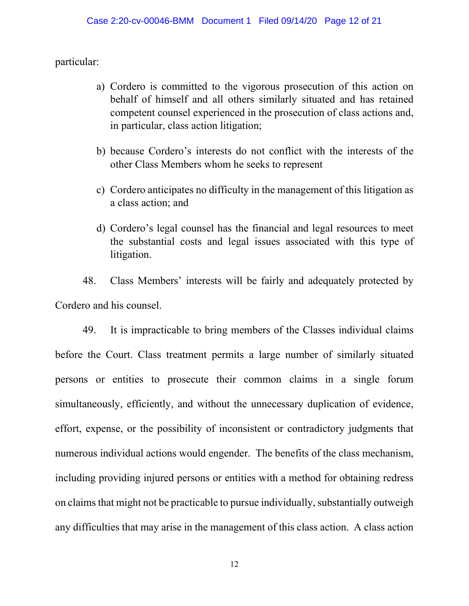particular:

- a) Cordero is committed to the vigorous prosecution of this action on behalf of himself and all others similarly situated and has retained competent counsel experienced in the prosecution of class actions and, in particular, class action litigation;
- b) because Cordero's interests do not conflict with the interests of the other Class Members whom he seeks to represent
- c) Cordero anticipates no difficulty in the management of this litigation as a class action; and
- d) Cordero's legal counsel has the financial and legal resources to meet the substantial costs and legal issues associated with this type of litigation.

48. Class Members' interests will be fairly and adequately protected by Cordero and his counsel.

49. It is impracticable to bring members of the Classes individual claims before the Court. Class treatment permits a large number of similarly situated persons or entities to prosecute their common claims in a single forum simultaneously, efficiently, and without the unnecessary duplication of evidence, effort, expense, or the possibility of inconsistent or contradictory judgments that numerous individual actions would engender. The benefits of the class mechanism, including providing injured persons or entities with a method for obtaining redress on claims that might not be practicable to pursue individually, substantially outweigh any difficulties that may arise in the management of this class action. A class action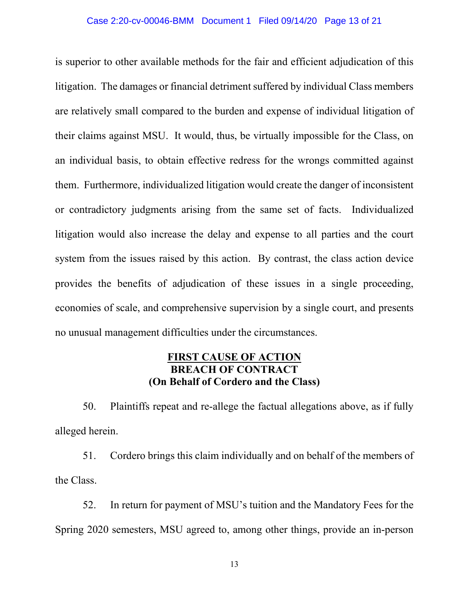### Case 2:20-cv-00046-BMM Document 1 Filed 09/14/20 Page 13 of 21

is superior to other available methods for the fair and efficient adjudication of this litigation. The damages or financial detriment suffered by individual Class members are relatively small compared to the burden and expense of individual litigation of their claims against MSU. It would, thus, be virtually impossible for the Class, on an individual basis, to obtain effective redress for the wrongs committed against them. Furthermore, individualized litigation would create the danger of inconsistent or contradictory judgments arising from the same set of facts. Individualized litigation would also increase the delay and expense to all parties and the court system from the issues raised by this action. By contrast, the class action device provides the benefits of adjudication of these issues in a single proceeding, economies of scale, and comprehensive supervision by a single court, and presents no unusual management difficulties under the circumstances.

## **FIRST CAUSE OF ACTION BREACH OF CONTRACT (On Behalf of Cordero and the Class)**

50. Plaintiffs repeat and re-allege the factual allegations above, as if fully alleged herein.

51. Cordero brings this claim individually and on behalf of the members of the Class.

52. In return for payment of MSU's tuition and the Mandatory Fees for the Spring 2020 semesters, MSU agreed to, among other things, provide an in-person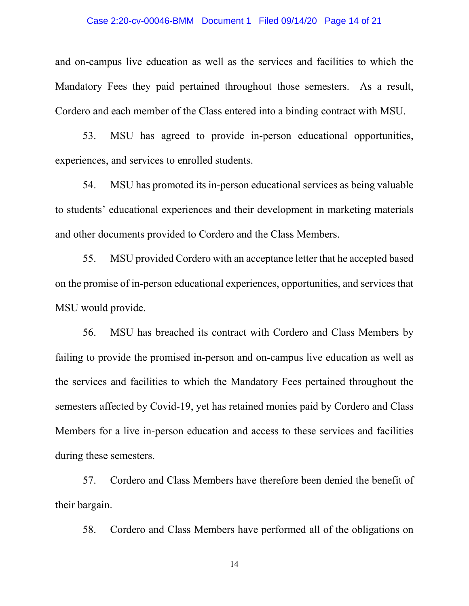### Case 2:20-cv-00046-BMM Document 1 Filed 09/14/20 Page 14 of 21

and on-campus live education as well as the services and facilities to which the Mandatory Fees they paid pertained throughout those semesters. As a result, Cordero and each member of the Class entered into a binding contract with MSU.

53. MSU has agreed to provide in-person educational opportunities, experiences, and services to enrolled students.

54. MSU has promoted its in-person educational services as being valuable to students' educational experiences and their development in marketing materials and other documents provided to Cordero and the Class Members.

55. MSU provided Cordero with an acceptance letter that he accepted based on the promise of in-person educational experiences, opportunities, and services that MSU would provide.

56. MSU has breached its contract with Cordero and Class Members by failing to provide the promised in-person and on-campus live education as well as the services and facilities to which the Mandatory Fees pertained throughout the semesters affected by Covid-19, yet has retained monies paid by Cordero and Class Members for a live in-person education and access to these services and facilities during these semesters.

57. Cordero and Class Members have therefore been denied the benefit of their bargain.

58. Cordero and Class Members have performed all of the obligations on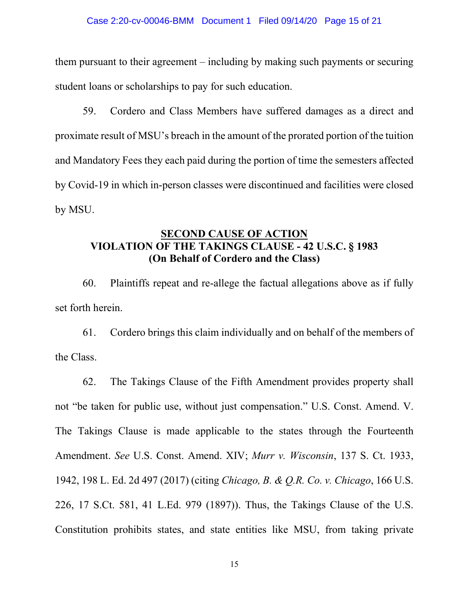### Case 2:20-cv-00046-BMM Document 1 Filed 09/14/20 Page 15 of 21

them pursuant to their agreement – including by making such payments or securing student loans or scholarships to pay for such education.

59. Cordero and Class Members have suffered damages as a direct and proximate result of MSU's breach in the amount of the prorated portion of the tuition and Mandatory Fees they each paid during the portion of time the semesters affected by Covid-19 in which in-person classes were discontinued and facilities were closed by MSU.

## **SECOND CAUSE OF ACTION VIOLATION OF THE TAKINGS CLAUSE - 42 U.S.C. § 1983 (On Behalf of Cordero and the Class)**

60. Plaintiffs repeat and re-allege the factual allegations above as if fully set forth herein.

61. Cordero brings this claim individually and on behalf of the members of the Class.

62. The Takings Clause of the Fifth Amendment provides property shall not "be taken for public use, without just compensation." U.S. Const. Amend. V. The Takings Clause is made applicable to the states through the Fourteenth Amendment. *See* U.S. Const. Amend. XIV; *Murr v. Wisconsin*, 137 S. Ct. 1933, 1942, 198 L. Ed. 2d 497 (2017) (citing *Chicago, B. & Q.R. Co. v. Chicago*, 166 U.S. 226, 17 S.Ct. 581, 41 L.Ed. 979 (1897)). Thus, the Takings Clause of the U.S. Constitution prohibits states, and state entities like MSU, from taking private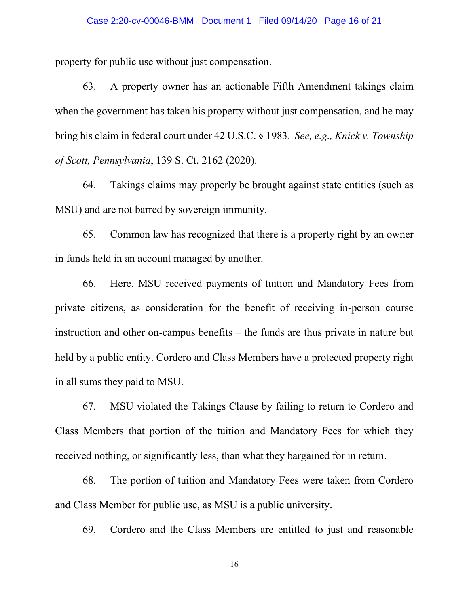#### Case 2:20-cv-00046-BMM Document 1 Filed 09/14/20 Page 16 of 21

property for public use without just compensation.

63. A property owner has an actionable Fifth Amendment takings claim when the government has taken his property without just compensation, and he may bring his claim in federal court under 42 U.S.C. § 1983. *See, e.g., Knick v. Township of Scott, Pennsylvania*, 139 S. Ct. 2162 (2020).

64. Takings claims may properly be brought against state entities (such as MSU) and are not barred by sovereign immunity.

65. Common law has recognized that there is a property right by an owner in funds held in an account managed by another.

66. Here, MSU received payments of tuition and Mandatory Fees from private citizens, as consideration for the benefit of receiving in-person course instruction and other on-campus benefits – the funds are thus private in nature but held by a public entity. Cordero and Class Members have a protected property right in all sums they paid to MSU.

67. MSU violated the Takings Clause by failing to return to Cordero and Class Members that portion of the tuition and Mandatory Fees for which they received nothing, or significantly less, than what they bargained for in return.

68. The portion of tuition and Mandatory Fees were taken from Cordero and Class Member for public use, as MSU is a public university.

69. Cordero and the Class Members are entitled to just and reasonable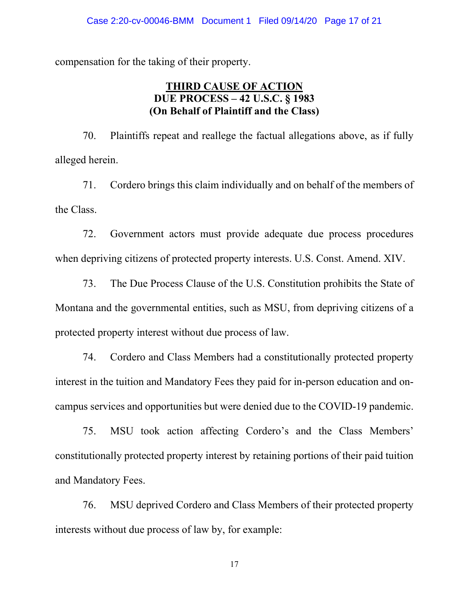compensation for the taking of their property.

## **THIRD CAUSE OF ACTION DUE PROCESS – 42 U.S.C. § 1983 (On Behalf of Plaintiff and the Class)**

70. Plaintiffs repeat and reallege the factual allegations above, as if fully alleged herein.

71. Cordero brings this claim individually and on behalf of the members of the Class.

72. Government actors must provide adequate due process procedures when depriving citizens of protected property interests. U.S. Const. Amend. XIV.

73. The Due Process Clause of the U.S. Constitution prohibits the State of Montana and the governmental entities, such as MSU, from depriving citizens of a protected property interest without due process of law.

74. Cordero and Class Members had a constitutionally protected property interest in the tuition and Mandatory Fees they paid for in-person education and oncampus services and opportunities but were denied due to the COVID-19 pandemic.

75. MSU took action affecting Cordero's and the Class Members' constitutionally protected property interest by retaining portions of their paid tuition and Mandatory Fees.

76. MSU deprived Cordero and Class Members of their protected property interests without due process of law by, for example: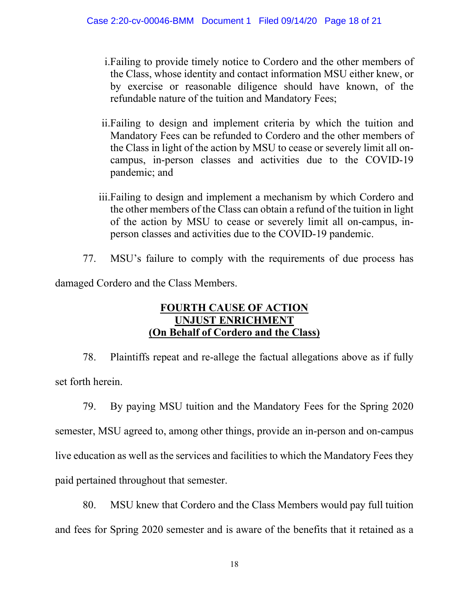- i.Failing to provide timely notice to Cordero and the other members of the Class, whose identity and contact information MSU either knew, or by exercise or reasonable diligence should have known, of the refundable nature of the tuition and Mandatory Fees;
- ii.Failing to design and implement criteria by which the tuition and Mandatory Fees can be refunded to Cordero and the other members of the Class in light of the action by MSU to cease or severely limit all oncampus, in-person classes and activities due to the COVID-19 pandemic; and
- iii.Failing to design and implement a mechanism by which Cordero and the other members of the Class can obtain a refund of the tuition in light of the action by MSU to cease or severely limit all on-campus, inperson classes and activities due to the COVID-19 pandemic.
- 77. MSU's failure to comply with the requirements of due process has

damaged Cordero and the Class Members.

# **FOURTH CAUSE OF ACTION UNJUST ENRICHMENT (On Behalf of Cordero and the Class)**

78. Plaintiffs repeat and re-allege the factual allegations above as if fully set forth herein.

79. By paying MSU tuition and the Mandatory Fees for the Spring 2020 semester, MSU agreed to, among other things, provide an in-person and on-campus live education as well as the services and facilities to which the Mandatory Fees they paid pertained throughout that semester.

80. MSU knew that Cordero and the Class Members would pay full tuition and fees for Spring 2020 semester and is aware of the benefits that it retained as a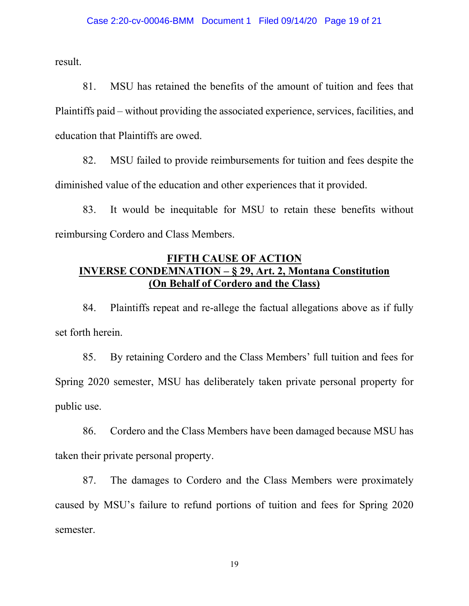result.

81. MSU has retained the benefits of the amount of tuition and fees that Plaintiffs paid – without providing the associated experience, services, facilities, and education that Plaintiffs are owed.

82. MSU failed to provide reimbursements for tuition and fees despite the diminished value of the education and other experiences that it provided.

83. It would be inequitable for MSU to retain these benefits without reimbursing Cordero and Class Members.

# **FIFTH CAUSE OF ACTION INVERSE CONDEMNATION – § 29, Art. 2, Montana Constitution (On Behalf of Cordero and the Class)**

84. Plaintiffs repeat and re-allege the factual allegations above as if fully set forth herein.

85. By retaining Cordero and the Class Members' full tuition and fees for Spring 2020 semester, MSU has deliberately taken private personal property for public use.

86. Cordero and the Class Members have been damaged because MSU has taken their private personal property.

87. The damages to Cordero and the Class Members were proximately caused by MSU's failure to refund portions of tuition and fees for Spring 2020 semester.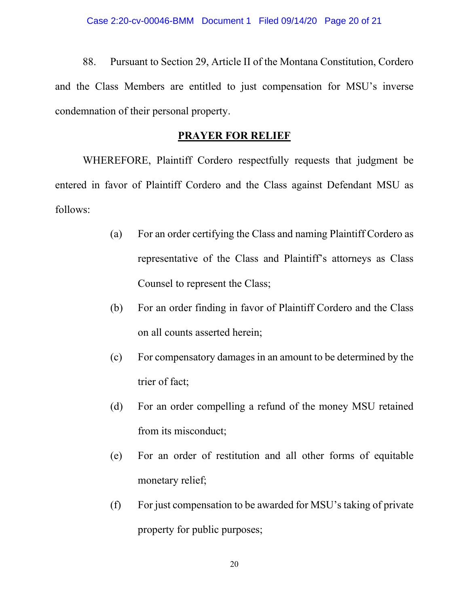88. Pursuant to Section 29, Article II of the Montana Constitution, Cordero and the Class Members are entitled to just compensation for MSU's inverse condemnation of their personal property.

### **PRAYER FOR RELIEF**

WHEREFORE, Plaintiff Cordero respectfully requests that judgment be entered in favor of Plaintiff Cordero and the Class against Defendant MSU as follows:

- (a) For an order certifying the Class and naming Plaintiff Cordero as representative of the Class and Plaintiff's attorneys as Class Counsel to represent the Class;
- (b) For an order finding in favor of Plaintiff Cordero and the Class on all counts asserted herein;
- (c) For compensatory damages in an amount to be determined by the trier of fact;
- (d) For an order compelling a refund of the money MSU retained from its misconduct;
- (e) For an order of restitution and all other forms of equitable monetary relief;
- (f) For just compensation to be awarded for MSU's taking of private property for public purposes;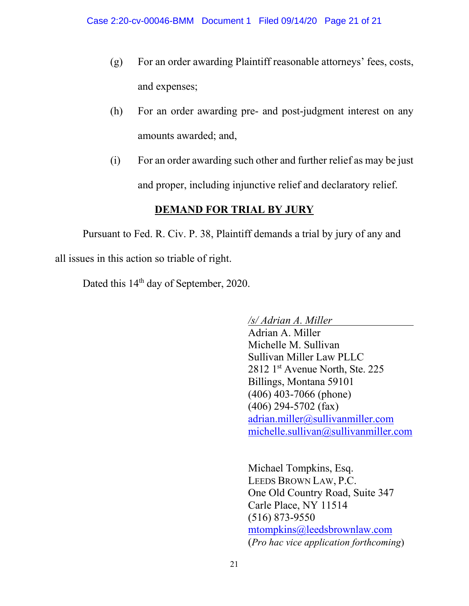- (g) For an order awarding Plaintiff reasonable attorneys' fees, costs, and expenses;
- (h) For an order awarding pre- and post-judgment interest on any amounts awarded; and,
- (i) For an order awarding such other and further relief as may be just and proper, including injunctive relief and declaratory relief.

# **DEMAND FOR TRIAL BY JURY**

Pursuant to Fed. R. Civ. P. 38, Plaintiff demands a trial by jury of any and all issues in this action so triable of right.

Dated this 14<sup>th</sup> day of September, 2020.

*/s/ Adrian A. Miller*

Adrian A. Miller Michelle M. Sullivan Sullivan Miller Law PLLC 2812 1<sup>st</sup> Avenue North, Ste. 225 Billings, Montana 59101 (406) 403-7066 (phone) (406) 294-5702 (fax) [adrian.miller@sullivanmiller.com](mailto:adrian.miller@sullivanmiller.com) michelle.sullivan@sullivanmiller.com

Michael Tompkins, Esq. LEEDS BROWN LAW, P.C. One Old Country Road, Suite 347 Carle Place, NY 11514 (516) 873-9550 [mtompkins@leedsbrownlaw.com](mailto:mtompkins@leedsbrownlaw.com) (*Pro hac vice application forthcoming*)